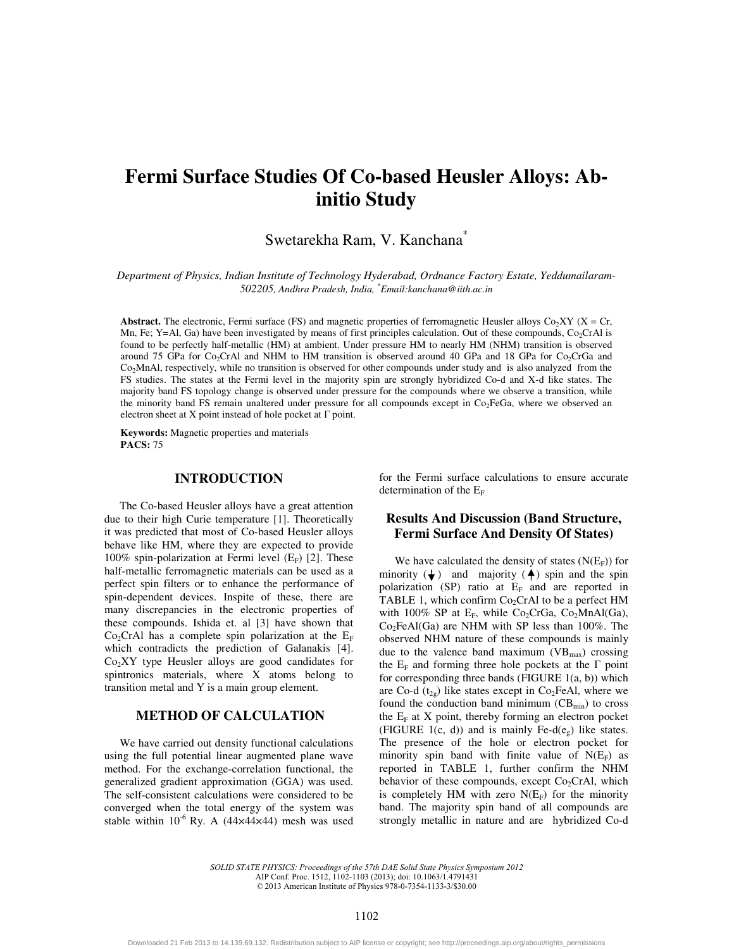# **Fermi Surface Studies Of Co-based Heusler Alloys: Abinitio Study**

# Swetarekha Ram, V. Kanchana\*

*Department of Physics, Indian Institute of Technology Hyderabad, Ordnance Factory Estate, Yeddumailaram-502205, Andhra Pradesh, India, \* Email:kanchana@iith.ac.in* 

**Abstract.** The electronic, Fermi surface (FS) and magnetic properties of ferromagnetic Heusler alloys  $Co_2XY$  ( $X = Cr$ , Mn, Fe; Y=Al, Ga) have been investigated by means of first principles calculation. Out of these compounds, Co<sub>2</sub>CrAl is found to be perfectly half-metallic (HM) at ambient. Under pressure HM to nearly HM (NHM) transition is observed around 75 GPa for Co<sub>2</sub>CrAl and NHM to HM transition is observed around 40 GPa and 18 GPa for Co<sub>2</sub>CrGa and Co2MnAl, respectively, while no transition is observed for other compounds under study and is also analyzed from the FS studies. The states at the Fermi level in the majority spin are strongly hybridized Co-d and X-d like states. The majority band FS topology change is observed under pressure for the compounds where we observe a transition, while the minority band FS remain unaltered under pressure for all compounds except in Co<sub>2</sub>FeGa, where we observed an electron sheet at X point instead of hole pocket at  $\Gamma$  point.

**Keywords:** Magnetic properties and materials **PACS:** 75

#### **INTRODUCTION**

The Co-based Heusler alloys have a great attention due to their high Curie temperature [1]. Theoretically it was predicted that most of Co-based Heusler alloys behave like HM, where they are expected to provide 100% spin-polarization at Fermi level  $(E_F)$  [2]. These half-metallic ferromagnetic materials can be used as a perfect spin filters or to enhance the performance of spin-dependent devices. Inspite of these, there are many discrepancies in the electronic properties of these compounds. Ishida et. al [3] have shown that  $Co<sub>2</sub>CrAl$  has a complete spin polarization at the  $E<sub>F</sub>$ which contradicts the prediction of Galanakis [4].  $Co<sub>2</sub>XY$  type Heusler alloys are good candidates for spintronics materials, where X atoms belong to transition metal and Y is a main group element.

# **METHOD OF CALCULATION**

We have carried out density functional calculations using the full potential linear augmented plane wave method. For the exchange-correlation functional, the generalized gradient approximation (GGA) was used. The self-consistent calculations were considered to be converged when the total energy of the system was stable within  $10^{-6}$  Ry. A (44×44×44) mesh was used

for the Fermi surface calculations to ensure accurate determination of the  $E_F$ .

# **Results And Discussion (Band Structure, Fermi Surface And Density Of States)**

We have calculated the density of states  $(N(E_F))$  for minority  $(\bigstar)$  and majority  $(\bigstar)$  spin and the spin polarization (SP) ratio at  $E_F$  and are reported in TABLE 1, which confirm  $Co<sub>2</sub>CrAl$  to be a perfect HM with 100% SP at  $E_F$ , while Co<sub>2</sub>CrGa, Co<sub>2</sub>MnAl(Ga),  $Co<sub>2</sub>FeAl(Ga)$  are NHM with SP less than 100%. The observed NHM nature of these compounds is mainly due to the valence band maximum ( $VB<sub>max</sub>$ ) crossing the  $E_F$  and forming three hole pockets at the  $\Gamma$  point for corresponding three bands (FIGURE 1(a, b)) which are Co-d  $(t_{2g})$  like states except in Co<sub>2</sub>FeAl, where we found the conduction band minimum  $(CB_{min})$  to cross the  $E_F$  at X point, thereby forming an electron pocket (FIGURE 1(c, d)) and is mainly Fe-d( $e_{\varphi}$ ) like states. The presence of the hole or electron pocket for minority spin band with finite value of  $N(E_F)$  as reported in TABLE 1, further confirm the NHM behavior of these compounds, except  $Co<sub>2</sub>CrAl$ , which is completely HM with zero  $N(E_F)$  for the minority band. The majority spin band of all compounds are strongly metallic in nature and are hybridized Co-d

*SOLID STATE PHYSICS: Proceedings of the 57th DAE Solid State Physics Symposium 2012* AIP Conf. Proc. 1512, 1102-1103 (2013); doi: 10.1063/1.4791431 © 2013 American Institute of Physics 978-0-7354-1133-3/\$30.00